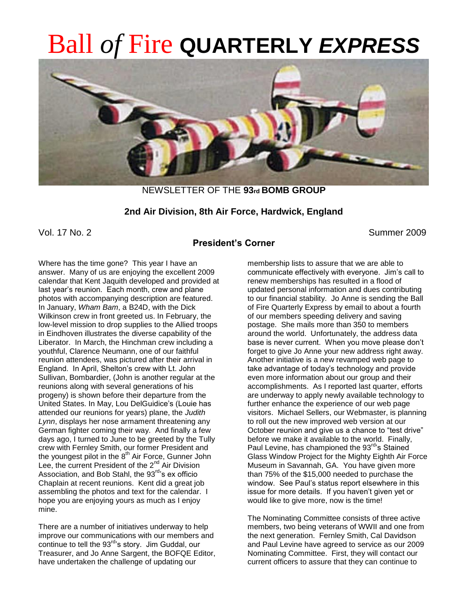# Ball *of* Fire **QUARTERLY** *EXPRESS*



NEWSLETTER OF THE **93rd BOMB GROUP**

#### **2nd Air Division, 8th Air Force, Hardwick, England**

Vol. 17 No. 2 Summer 2009

## **President's Corner**

Where has the time gone? This year I have an answer. Many of us are enjoying the excellent 2009 calendar that Kent Jaquith developed and provided at last year's reunion. Each month, crew and plane photos with accompanying description are featured. In January, *Wham Bam*, a B24D, with the Dick Wilkinson crew in front greeted us. In February, the low-level mission to drop supplies to the Allied troops in Eindhoven illustrates the diverse capability of the Liberator. In March, the Hinchman crew including a youthful, Clarence Neumann, one of our faithful reunion attendees, was pictured after their arrival in England. In April, Shelton's crew with Lt. John Sullivan, Bombardier, (John is another regular at the reunions along with several generations of his progeny) is shown before their departure from the United States. In May, Lou DelGuidice's (Louie has attended our reunions for years) plane, the *Judith Lynn*, displays her nose armament threatening any German fighter coming their way. And finally a few days ago, I turned to June to be greeted by the Tully crew with Fernley Smith, our former President and the youngest pilot in the 8<sup>th</sup> Air Force, Gunner John Lee, the current President of the 2<sup>nd</sup> Air Division Association, and Bob Stahl, the 93<sup>rd</sup>'s ex officio Chaplain at recent reunions. Kent did a great job assembling the photos and text for the calendar. I hope you are enjoying yours as much as I enjoy mine.

There are a number of initiatives underway to help improve our communications with our members and continue to tell the 93<sup>rd</sup>'s story. Jim Guddal, our Treasurer, and Jo Anne Sargent, the BOFQE Editor, have undertaken the challenge of updating our

membership lists to assure that we are able to communicate effectively with everyone. Jim's call to renew memberships has resulted in a flood of updated personal information and dues contributing to our financial stability. Jo Anne is sending the Ball of Fire Quarterly Express by email to about a fourth of our members speeding delivery and saving postage. She mails more than 350 to members around the world. Unfortunately, the address data base is never current. When you move please don't forget to give Jo Anne your new address right away. Another initiative is a new revamped web page to take advantage of today's technology and provide even more information about our group and their accomplishments. As I reported last quarter, efforts are underway to apply newly available technology to further enhance the experience of our web page visitors. Michael Sellers, our Webmaster, is planning to roll out the new improved web version at our October reunion and give us a chance to "test drive" before we make it available to the world. Finally, Paul Levine, has championed the 93<sup>rd</sup>'s Stained Glass Window Project for the Mighty Eighth Air Force Museum in Savannah, GA. You have given more than 75% of the \$15,000 needed to purchase the window. See Paul's status report elsewhere in this issue for more details. If you haven't given yet or would like to give more, now is the time!

The Nominating Committee consists of three active members, two being veterans of WWII and one from the next generation. Fernley Smith, Cal Davidson and Paul Levine have agreed to service as our 2009 Nominating Committee. First, they will contact our current officers to assure that they can continue to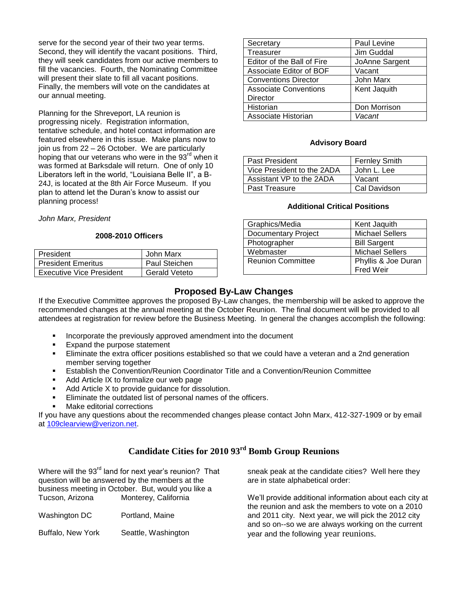serve for the second year of their two year terms. Second, they will identify the vacant positions. Third, they will seek candidates from our active members to fill the vacancies. Fourth, the Nominating Committee will present their slate to fill all vacant positions. Finally, the members will vote on the candidates at our annual meeting.

Planning for the Shreveport, LA reunion is progressing nicely. Registration information, tentative schedule, and hotel contact information are featured elsewhere in this issue. Make plans now to join us from 22 – 26 October. We are particularly hoping that our veterans who were in the 93<sup>rd</sup> when it was formed at Barksdale will return. One of only 10 Liberators left in the world, "Louisiana Belle II", a B-24J, is located at the 8th Air Force Museum. If you plan to attend let the Duran's know to assist our planning process!

*John Marx, President*

#### **2008-2010 Officers**

| President                       | John Marx            |
|---------------------------------|----------------------|
| <b>President Emeritus</b>       | <b>Paul Steichen</b> |
| <b>Executive Vice President</b> | <b>Gerald Veteto</b> |

| Secretary                    | Paul Levine    |
|------------------------------|----------------|
| Treasurer                    | Jim Guddal     |
| Editor of the Ball of Fire   | JoAnne Sargent |
| Associate Editor of BOF      | Vacant         |
| <b>Conventions Director</b>  | John Marx      |
| <b>Associate Conventions</b> | Kent Jaquith   |
| <b>Director</b>              |                |
| Historian                    | Don Morrison   |
| Associate Historian          | Vacant         |

#### **Advisory Board**

| Past President             | <b>Fernley Smith</b> |
|----------------------------|----------------------|
| Vice President to the 2ADA | John L. Lee          |
| Assistant VP to the 2ADA   | Vacant               |
| <b>Past Treasure</b>       | Cal Davidson         |

#### **Additional Critical Positions**

| Graphics/Media             | Kent Jaquith           |
|----------------------------|------------------------|
| <b>Documentary Project</b> | <b>Michael Sellers</b> |
| Photographer               | <b>Bill Sargent</b>    |
| Webmaster                  | <b>Michael Sellers</b> |
| <b>Reunion Committee</b>   | Phyllis & Joe Duran    |
|                            | Fred Weir              |

#### **Proposed By-Law Changes**

If the Executive Committee approves the proposed By-Law changes, the membership will be asked to approve the recommended changes at the annual meeting at the October Reunion. The final document will be provided to all attendees at registration for review before the Business Meeting. In general the changes accomplish the following:

- Incorporate the previously approved amendment into the document
- Expand the purpose statement
- Eliminate the extra officer positions established so that we could have a veteran and a 2nd generation member serving together
- Establish the Convention/Reunion Coordinator Title and a Convention/Reunion Committee
- Add Article IX to formalize our web page
- Add Article X to provide guidance for dissolution.
- Eliminate the outdated list of personal names of the officers.
- Make editorial corrections

If you have any questions about the recommended changes please contact John Marx, 412-327-1909 or by email at [109clearview@verizon.net.](mailto:109clearview@verizon.net)

## **Candidate Cities for 2010 93rd Bomb Group Reunions**

| Where will the 93 <sup>rd</sup> land for next year's reunion? That |                                                    | sneak peak at the candidate cities? Well here they      |
|--------------------------------------------------------------------|----------------------------------------------------|---------------------------------------------------------|
| question will be answered by the members at the                    |                                                    | are in state alphabetical order:                        |
|                                                                    | business meeting in October. But, would you like a |                                                         |
| Tucson, Arizona                                                    | Monterey, California                               | We'll provide additional information about each city at |
|                                                                    |                                                    | the reunion and ask the members to vote on a 2010       |
| Washington DC                                                      | Portland, Maine                                    | and 2011 city. Next year, we will pick the 2012 city    |
|                                                                    |                                                    | and so on--so we are always working on the current      |
| Buffalo, New York                                                  | Seattle, Washington                                | year and the following year reunions.                   |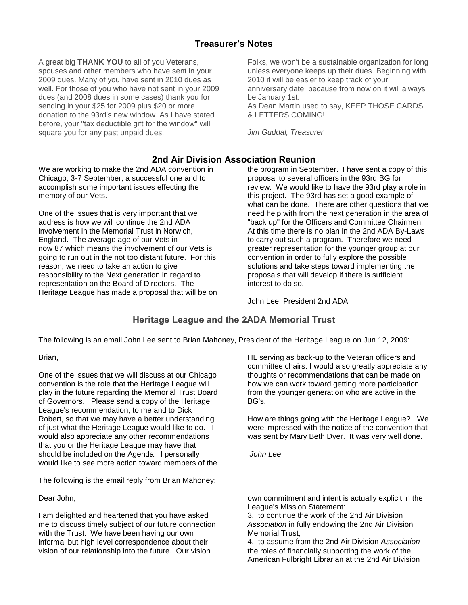## **Treasurer's Notes**

A great big **THANK YOU** to all of you Veterans, spouses and other members who have sent in your 2009 dues. Many of you have sent in 2010 dues as well. For those of you who have not sent in your 2009 dues (and 2008 dues in some cases) thank you for sending in your \$25 for 2009 plus \$20 or more donation to the 93rd's new window. As I have stated before, your "tax deductible gift for the window" will square you for any past unpaid dues.

We are working to make the 2nd ADA convention in Chicago, 3-7 September, a successful one and to accomplish some important issues effecting the memory of our Vets.

One of the issues that is very important that we address is how we will continue the 2nd ADA involvement in the Memorial Trust in Norwich, England. The average age of our Vets in now 87 which means the involvement of our Vets is going to run out in the not too distant future. For this reason, we need to take an action to give responsibility to the Next generation in regard to representation on the Board of Directors. The Heritage League has made a proposal that will be on Folks, we won't be a sustainable organization for long unless everyone keeps up their dues. Beginning with 2010 it will be easier to keep track of your anniversary date, because from now on it will always be January 1st. As Dean Martin used to say, KEEP THOSE CARDS & LETTERS COMING!

*Jim Guddal, Treasurer*

## **2nd Air Division Association Reunion**

the program in September. I have sent a copy of this proposal to several officers in the 93rd BG for review. We would like to have the 93rd play a role in this project. The 93rd has set a good example of what can be done. There are other questions that we need help with from the next generation in the area of "back up" for the Officers and Committee Chairmen. At this time there is no plan in the 2nd ADA By-Laws to carry out such a program. Therefore we need greater representation for the younger group at our convention in order to fully explore the possible solutions and take steps toward implementing the proposals that will develop if there is sufficient interest to do so.

John Lee, President 2nd ADA

## **Heritage League and the 2ADA Memorial Trust**

The following is an email John Lee sent to Brian Mahoney, President of the Heritage League on Jun 12, 2009:

Brian,

One of the issues that we will discuss at our Chicago convention is the role that the Heritage League will play in the future regarding the Memorial Trust Board of Governors. Please send a copy of the Heritage League's recommendation, to me and to Dick Robert, so that we may have a better understanding of just what the Heritage League would like to do. I would also appreciate any other recommendations that you or the Heritage League may have that should be included on the Agenda. I personally would like to see more action toward members of the

The following is the email reply from Brian Mahoney:

Dear John,

I am delighted and heartened that you have asked me to discuss timely subject of our future connection with the Trust. We have been having our own informal but high level correspondence about their vision of our relationship into the future. Our vision

HL serving as back-up to the Veteran officers and committee chairs. I would also greatly appreciate any thoughts or recommendations that can be made on how we can work toward getting more participation from the younger generation who are active in the BG's.

How are things going with the Heritage League? We were impressed with the notice of the convention that was sent by Mary Beth Dyer. It was very well done.

*John Lee*

own commitment and intent is actually explicit in the League's Mission Statement:

3. to continue the work of the 2nd Air Division *Association* in fully endowing the 2nd Air Division Memorial Trust;

4. to assume from the 2nd Air Division *Association* the roles of financially supporting the work of the American Fulbright Librarian at the 2nd Air Division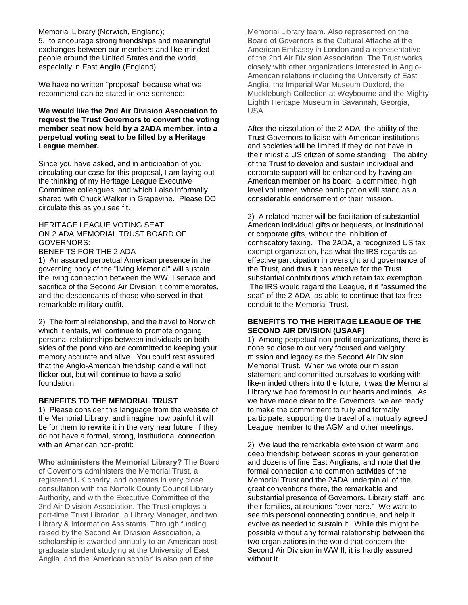#### Memorial Library (Norwich, England);

5. to encourage strong friendships and meaningful exchanges between our members and like-minded people around the United States and the world, especially in East Anglia (England)

We have no written "proposal" because what we recommend can be stated in one sentence:

#### **We would like the 2nd Air Division Association to request the Trust Governors to convert the voting member seat now held by a 2ADA member, into a perpetual voting seat to be filled by a Heritage League member.**

Since you have asked, and in anticipation of you circulating our case for this proposal, I am laying out the thinking of my Heritage League Executive Committee colleagues, and which I also informally shared with Chuck Walker in Grapevine. Please DO circulate this as you see fit.

#### HERITAGE LEAGUE VOTING SEAT ON 2 ADA MEMORIAL TRUST BOARD OF GOVERNORS:

#### BENEFITS FOR THE 2 ADA

1) An assured perpetual American presence in the governing body of the "living Memorial" will sustain the living connection between the WW II service and sacrifice of the Second Air Division it commemorates, and the descendants of those who served in that remarkable military outfit.

2) The formal relationship, and the travel to Norwich which it entails, will continue to promote ongoing personal relationships between individuals on both sides of the pond who are committed to keeping your memory accurate and alive. You could rest assured that the Anglo-American friendship candle will not flicker out, but will continue to have a solid foundation.

#### **BENEFITS TO THE MEMORIAL TRUST**

1) Please consider this language from the website of the Memorial Library, and imagine how painful it will be for them to rewrite it in the very near future, if they do not have a formal, strong, institutional connection with an American non-profit:

**Who administers the Memorial Library?** The Board of Governors administers the Memorial Trust, a registered UK charity, and operates in very close consultation with the Norfolk County Council Library Authority, and with the Executive Committee of the 2nd Air Division Association. The Trust employs a part-time Trust Librarian, a Library Manager, and two Library & Information Assistants. Through funding raised by the Second Air Division Association, a scholarship is awarded annually to an American postgraduate student studying at the University of East Anglia, and the 'American scholar' is also part of the

Memorial Library team. Also represented on the Board of Governors is the Cultural Attache at the American Embassy in London and a representative of the 2nd Air Division Association. The Trust works closely with other organizations interested in Anglo-American relations including the University of East Anglia, the Imperial War Museum Duxford, the Muckleburgh Collection at Weybourne and the Mighty Eighth Heritage Museum in Savannah, Georgia, USA.

After the dissolution of the 2 ADA, the ability of the Trust Governors to liaise with American institutions and societies will be limited if they do not have in their midst a US citizen of some standing. The ability of the Trust to develop and sustain individual and corporate support will be enhanced by having an American member on its board, a committed, high level volunteer, whose participation will stand as a considerable endorsement of their mission.

2) A related matter will be facilitation of substantial American individual gifts or bequests, or institutional or corporate gifts, without the inhibition of confiscatory taxing. The 2ADA, a recognized US tax exempt organization, has what the IRS regards as effective participation in oversight and governance of the Trust, and thus it can receive for the Trust substantial contributions which retain tax exemption. The IRS would regard the League, if it "assumed the seat" of the 2 ADA, as able to continue that tax-free conduit to the Memorial Trust.

#### **BENEFITS TO THE HERITAGE LEAGUE OF THE SECOND AIR DIVISION (USAAF)**

1) Among perpetual non-profit organizations, there is none so close to our very focused and weighty mission and legacy as the Second Air Division Memorial Trust. When we wrote our mission statement and committed ourselves to working with like-minded others into the future, it was the Memorial Library we had foremost in our hearts and minds. As we have made clear to the Governors, we are ready to make the commitment to fully and formally participate, supporting the travel of a mutually agreed League member to the AGM and other meetings.

2) We laud the remarkable extension of warm and deep friendship between scores in your generation and dozens of fine East Anglians, and note that the formal connection and common activities of the Memorial Trust and the 2ADA underpin all of the great conventions there, the remarkable and substantial presence of Governors, Library staff, and their families, at reunions "over here." We want to see this personal connecting continue, and help it evolve as needed to sustain it. While this might be possible without any formal relationship between the two organizations in the world that concern the Second Air Division in WW II, it is hardly assured without it.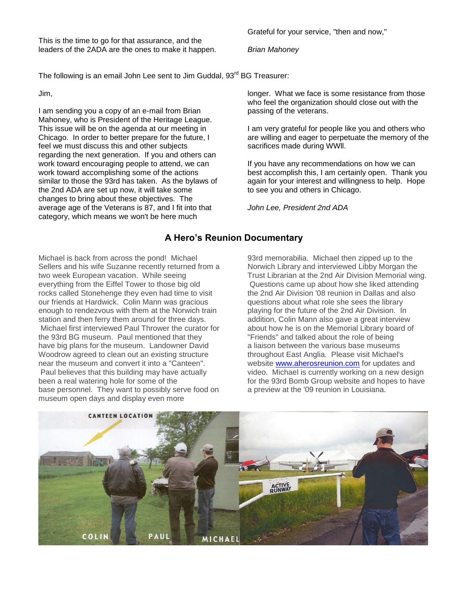This is the time to go for that assurance, and the leaders of the 2ADA are the ones to make it happen.

The following is an email John Lee sent to Jim Guddal, 93<sup>rd</sup> BG Treasurer:

Jim,

I am sending you a copy of an e-mail from Brian Mahoney, who is President of the Heritage League. This issue will be on the agenda at our meeting in Chicago. In order to better prepare for the future, I feel we must discuss this and other subjects regarding the next generation. If you and others can work toward encouraging people to attend, we can work toward accomplishing some of the actions similar to those the 93rd has taken. As the bylaws of the 2nd ADA are set up now, it will take some changes to bring about these objectives. The average age of the Veterans is 87, and I fit into that category, which means we won't be here much

longer. What we face is some resistance from those who feel the organization should close out with the passing of the veterans.

I am very grateful for people like you and others who are willing and eager to perpetuate the memory of the sacrifices made during WWll.

If you have any recommendations on how we can best accomplish this, I am certainly open. Thank you again for your interest and willingness to help. Hope to see you and others in Chicago.

*John Lee, President 2nd ADA*

## **A Hero's Reunion Documentary**

Michael is back from across the pond! Michael Sellers and his wife Suzanne recently returned from a two week European vacation. While seeing everything from the Eiffel Tower to those big old rocks called Stonehenge they even had time to visit our friends at Hardwick. Colin Mann was gracious enough to rendezvous with them at the Norwich train station and then ferry them around for three days. Michael first interviewed Paul Thrower the curator for the 93rd BG museum. Paul mentioned that they have big plans for the museum. Landowner David Woodrow agreed to clean out an existing structure near the museum and convert it into a "Canteen". Paul believes that this building may have actually been a real watering hole for some of the base personnel. They want to possibly serve food on museum open days and display even more

93rd memorabilia. Michael then zipped up to the Norwich Library and interviewed Libby Morgan the Trust Librarian at the 2nd Air Division Memorial wing. Questions came up about how she liked attending the 2nd Air Division '08 reunion in Dallas and also questions about what role she sees the library playing for the future of the 2nd Air Division. In addition, Colin Mann also gave a great interview about how he is on the Memorial Library board of "Friends" and talked about the role of being a liaison between the various base museums throughout East Anglia. Please visit Michael's website [www.aherosreunion.com](http://www.aherosreunion.com/) for updates and video. Michael is currently working on a new design for the 93rd Bomb Group website and hopes to have a preview at the '09 reunion in Louisiana.



Grateful for your service, "then and now,"

*Brian Mahoney*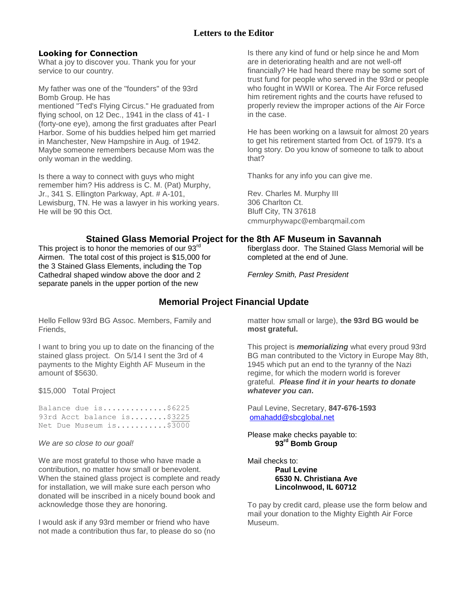## **Letters to the Editor**

#### **Looking for Connection**

What a joy to discover you. Thank you for your service to our country.

My father was one of the "founders" of the 93rd Bomb Group. He has

mentioned "Ted's Flying Circus." He graduated from flying school, on 12 Dec., 1941 in the class of 41-1 (forty-one eye), among the first graduates after Pearl Harbor. Some of his buddies helped him get married in Manchester, New Hampshire in Aug. of 1942. Maybe someone remembers because Mom was the only woman in the wedding.

Is there a way to connect with guys who might remember him? His address is C. M. (Pat) Murphy, Jr., 341 S. Ellington Parkway, Apt. # A-101, Lewisburg, TN. He was a lawyer in his working years. He will be 90 this Oct.

Is there any kind of fund or help since he and Mom are in deteriorating health and are not well-off financially? He had heard there may be some sort of trust fund for people who served in the 93rd or people who fought in WWII or Korea. The Air Force refused him retirement rights and the courts have refused to properly review the improper actions of the Air Force in the case.

He has been working on a lawsuit for almost 20 years to get his retirement started from Oct. of 1979. It's a long story. Do you know of someone to talk to about that?

Thanks for any info you can give me.

Rev. Charles M. Murphy III 306 Charlton Ct. Bluff City, TN 37618 cmmurphywapc@embarqmail.com

## **Stained Glass Memorial Project for the 8th AF Museum in Savannah**

This project is to honor the memories of our 93rd Airmen. The total cost of this project is \$15,000 for the 3 Stained Glass Elements, including the Top Cathedral shaped window above the door and 2 separate panels in the upper portion of the new

fiberglass door. The Stained Glass Memorial will be completed at the end of June.

*Fernley Smith, Past President*

## **Memorial Project Financial Update**

Hello Fellow 93rd BG Assoc. Members, Family and Friends,

I want to bring you up to date on the financing of the stained glass project. On 5/14 I sent the 3rd of 4 payments to the Mighty Eighth AF Museum in the amount of \$5630.

#### \$15,000 Total Project

Balance due is..............\$6225 93rd Acct balance is........\$3225 Net Due Museum is...........\$3000

#### *We are so close to our goal!*

We are most grateful to those who have made a contribution, no matter how small or benevolent. When the stained glass project is complete and ready for installation, we will make sure each person who donated will be inscribed in a nicely bound book and acknowledge those they are honoring.

I would ask if any 93rd member or friend who have not made a contribution thus far, to please do so (no matter how small or large), **the 93rd BG would be most grateful.**

This project is *memorializing* what every proud 93rd BG man contributed to the Victory in Europe May 8th, 1945 which put an end to the tyranny of the Nazi regime, for which the modern world is forever grateful. *Please find it in your hearts to donate whatever you can.*

Paul Levine, Secretary, **847-676-1593** [omahadd@sbcglobal.net](mailto:omahadd@sbcglobal.net)

#### Please make checks payable to: **93rd Bomb Group**

Mail checks to:

**Paul Levine 6530 N. Christiana Ave Lincolnwood, IL 60712**

To pay by credit card, please use the form below and mail your donation to the Mighty Eighth Air Force Museum.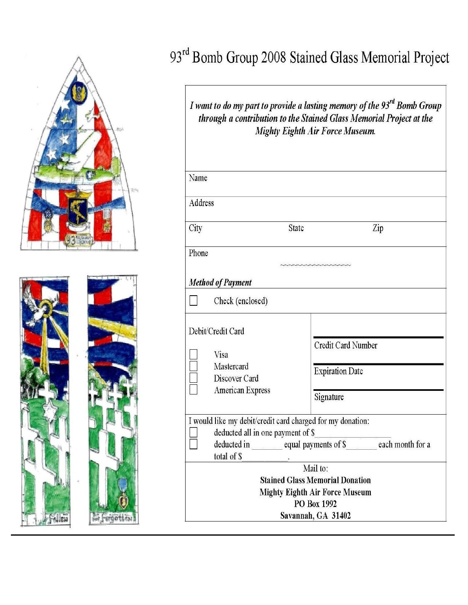

## 93rd Bomb Group 2008 Stained Glass Memorial Project

*I* want to do my part to provide a lasting memory of the 93<sup>rd</sup> Bomb Group through a contribution to the Stained Glass Memorial Project at the Mighty Eighth Air Force Museum.

| Name    |                                                                                                                |                                                                                                                                                  |
|---------|----------------------------------------------------------------------------------------------------------------|--------------------------------------------------------------------------------------------------------------------------------------------------|
| Address |                                                                                                                |                                                                                                                                                  |
| City    | <b>State</b>                                                                                                   | Zip                                                                                                                                              |
| Phone   |                                                                                                                | unannannannannannan                                                                                                                              |
|         | <b>Method of Payment</b>                                                                                       |                                                                                                                                                  |
|         | Check (enclosed)                                                                                               |                                                                                                                                                  |
|         | Debit/Credit Card<br>Visa<br>Mastercard<br>Discover Card<br>American Express                                   | Credit Card Number<br><b>Expiration Date</b><br>Signature                                                                                        |
|         | I would like my debit/credit card charged for my donation:<br>deducted all in one payment of \$<br>total of \$ | deducted in equal payments of \$ each month for a<br>Mail to:<br><b>Stained Glass Memorial Donation</b><br><b>Mighty Eighth Air Force Museum</b> |
|         |                                                                                                                | PO Box 1992<br>Savannah, GA 31402                                                                                                                |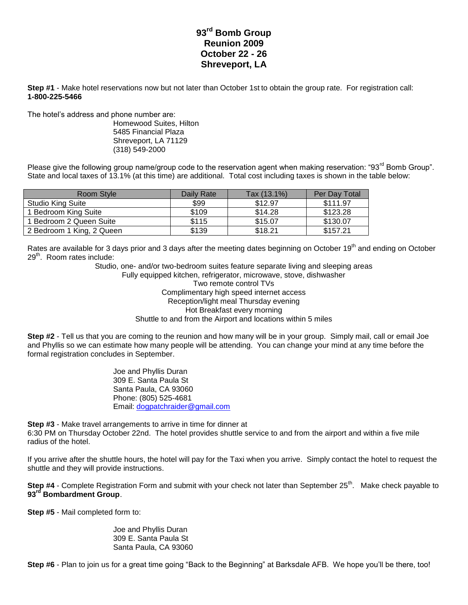## **93rd Bomb Group Reunion 2009 October 22 - 26 Shreveport, LA**

**Step #1** - Make hotel reservations now but not later than October 1st to obtain the group rate. For registration call: **1-800-225-5466**

The hotel's address and phone number are:

Homewood Suites, Hilton 5485 Financial Plaza Shreveport, LA 71129 (318) 549-2000

Please give the following group name/group code to the reservation agent when making reservation: "93<sup>rd</sup> Bomb Group". State and local taxes of 13.1% (at this time) are additional. Total cost including taxes is shown in the table below:

| Room Style                | Daily Rate | Tax (13.1%) | Per Day Total |
|---------------------------|------------|-------------|---------------|
| <b>Studio King Suite</b>  | \$99       | \$12.97     | \$111.97      |
| 1 Bedroom King Suite      | \$109      | \$14.28     | \$123.28      |
| 1 Bedroom 2 Queen Suite   | \$115      | \$15.07     | \$130.07      |
| 2 Bedroom 1 King, 2 Queen | \$139      | \$18.21     | \$157.21      |

Rates are available for 3 days prior and 3 days after the meeting dates beginning on October 19<sup>th</sup> and ending on October  $29<sup>th</sup>$ . Room rates include:

> Studio, one- and/or two-bedroom suites feature separate living and sleeping areas Fully equipped kitchen, refrigerator, microwave, stove, dishwasher Two remote control TVs Complimentary high speed internet access Reception/light meal Thursday evening Hot Breakfast every morning Shuttle to and from the Airport and locations within 5 miles

**Step #2** - Tell us that you are coming to the reunion and how many will be in your group. Simply mail, call or email Joe and Phyllis so we can estimate how many people will be attending. You can change your mind at any time before the formal registration concludes in September.

> Joe and Phyllis Duran 309 E. Santa Paula St Santa Paula, CA 93060 Phone: (805) 525-4681 Email: [dogpatchraider@gmail.com](mailto:dogpatchraider@gmail.com)

**Step #3** - Make travel arrangements to arrive in time for dinner at 6:30 PM on Thursday October 22nd. The hotel provides shuttle service to and from the airport and within a five mile radius of the hotel.

If you arrive after the shuttle hours, the hotel will pay for the Taxi when you arrive. Simply contact the hotel to request the shuttle and they will provide instructions.

**Step #4** - Complete Registration Form and submit with your check not later than September 25<sup>th</sup>. Make check payable to **93rd Bombardment Group**.

**Step #5** - Mail completed form to:

Joe and Phyllis Duran 309 E. Santa Paula St Santa Paula, CA 93060

**Step #6** - Plan to join us for a great time going "Back to the Beginning" at Barksdale AFB. We hope you'll be there, too!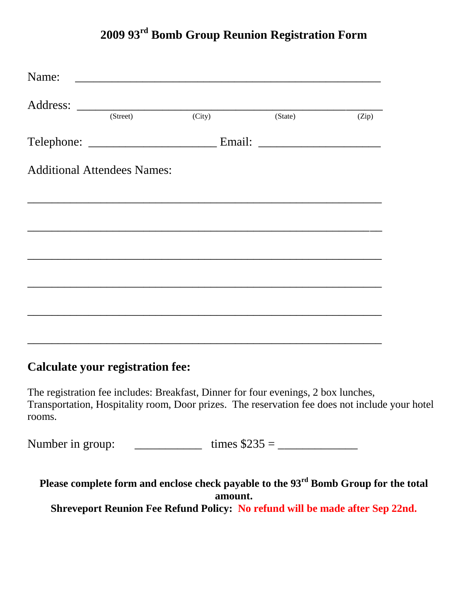## **2009 93rd Bomb Group Reunion Registration Form**

| Name: |                                    | <u> 1989 - Jan Barnett, fransk politiker (d. 1989)</u> |         |       |
|-------|------------------------------------|--------------------------------------------------------|---------|-------|
|       | (Street)                           | (City)                                                 | (State) | (Zip) |
|       |                                    |                                                        |         |       |
|       | <b>Additional Attendees Names:</b> |                                                        |         |       |
|       |                                    |                                                        |         |       |
|       |                                    |                                                        |         |       |
|       |                                    |                                                        |         |       |
|       |                                    |                                                        |         |       |
|       |                                    |                                                        |         |       |
|       |                                    |                                                        |         |       |

## **Calculate your registration fee:**

The registration fee includes: Breakfast, Dinner for four evenings, 2 box lunches, Transportation, Hospitality room, Door prizes. The reservation fee does not include your hotel rooms.

Number in group: \_\_\_\_\_\_\_\_\_\_\_ times \$235 = \_\_\_\_\_\_\_\_\_\_\_\_\_

**Please complete form and enclose check payable to the 93rd Bomb Group for the total amount. Shreveport Reunion Fee Refund Policy: No refund will be made after Sep 22nd.**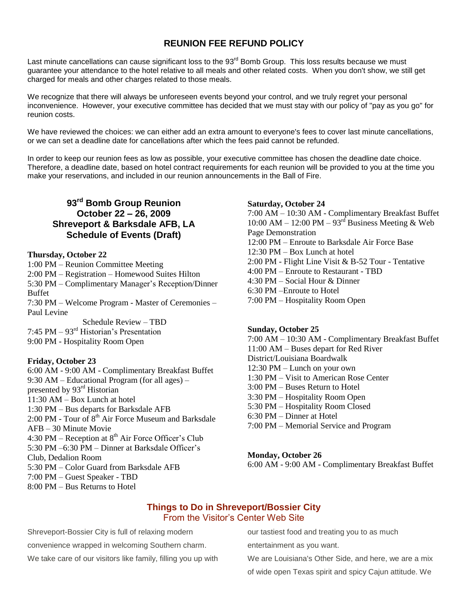## **REUNION FEE REFUND POLICY**

Last minute cancellations can cause significant loss to the 93<sup>rd</sup> Bomb Group. This loss results because we must guarantee your attendance to the hotel relative to all meals and other related costs. When you don't show, we still get charged for meals and other charges related to those meals.

We recognize that there will always be unforeseen events beyond your control, and we truly regret your personal inconvenience. However, your executive committee has decided that we must stay with our policy of "pay as you go" for reunion costs.

We have reviewed the choices: we can either add an extra amount to everyone's fees to cover last minute cancellations, or we can set a deadline date for cancellations after which the fees paid cannot be refunded.

In order to keep our reunion fees as low as possible, your executive committee has chosen the deadline date choice. Therefore, a deadline date, based on hotel contract requirements for each reunion will be provided to you at the time you make your reservations, and included in our reunion announcements in the Ball of Fire.

## **93rd Bomb Group Reunion October 22 – 26, 2009 Shreveport & Barksdale AFB, LA Schedule of Events (Draft)**

#### **Thursday, October 22**

1:00 PM – Reunion Committee Meeting 2:00 PM – Registration – Homewood Suites Hilton 5:30 PM – Complimentary Manager's Reception/Dinner Buffet 7:30 PM – Welcome Program - Master of Ceremonies – Paul Levine Schedule Review – TBD 7:45 PM – 93rd Historian's Presentation

9:00 PM - Hospitality Room Open

#### **Friday, October 23**

6:00 AM - 9:00 AM - Complimentary Breakfast Buffet 9:30 AM – Educational Program (for all ages) – presented by 93rd Historian  $11:30$  AM – Box Lunch at hotel 1:30 PM – Bus departs for Barksdale AFB 2:00 PM - Tour of  $8<sup>th</sup>$  Air Force Museum and Barksdale AFB – 30 Minute Movie 4:30 PM – Reception at  $8<sup>th</sup>$  Air Force Officer's Club 5:30 PM –6:30 PM – Dinner at Barksdale Officer's Club, Dedalion Room 5:30 PM – Color Guard from Barksdale AFB 7:00 PM – Guest Speaker - TBD 8:00 PM – Bus Returns to Hotel

#### **Saturday, October 24**

7:00 AM – 10:30 AM - Complimentary Breakfast Buffet 10:00 AM – 12:00 PM –  $93<sup>rd</sup>$  Business Meeting & Web Page Demonstration 12:00 PM – Enroute to Barksdale Air Force Base 12:30 PM – Box Lunch at hotel 2:00 PM - Flight Line Visit & B-52 Tour - Tentative 4:00 PM – Enroute to Restaurant - TBD  $4.30$  PM – Social Hour & Dinner 6:30 PM –Enroute to Hotel 7:00 PM – Hospitality Room Open

#### **Sunday, October 25**

7:00 AM – 10:30 AM - Complimentary Breakfast Buffet 11:00 AM – Buses depart for Red River District/Louisiana Boardwalk 12:30 PM – Lunch on your own 1:30 PM – Visit to American Rose Center 3:00 PM – Buses Return to Hotel 3:30 PM – Hospitality Room Open 5:30 PM – Hospitality Room Closed 6:30 PM – Dinner at Hotel 7:00 PM – Memorial Service and Program

#### **Monday, October 26**

6:00 AM - 9:00 AM - Complimentary Breakfast Buffet

#### **Things to Do in Shreveport/Bossier City** From the Visitor's Center Web Site

Shreveport-Bossier City is full of relaxing modern convenience wrapped in welcoming Southern charm. We take care of our visitors like family, filling you up with our tastiest food and treating you to as much

entertainment as you want.

We are Louisiana's Other Side, and here, we are a mix

of wide open Texas spirit and spicy Cajun attitude. We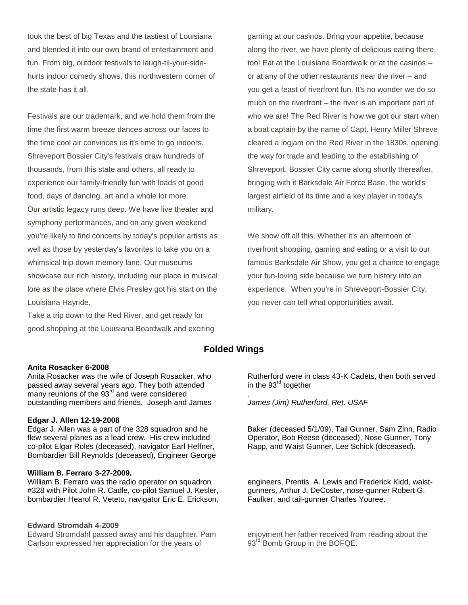took the best of big Texas and the tastiest of Louisiana and blended it into our own brand of entertainment and fun. From big, outdoor festivals to laugh-til-your-sidehurts indoor comedy shows, this northwestern corner of the state has it all.

Festivals are our trademark, and we hold them from the time the first warm breeze dances across our faces to the time cool air convinces us it's time to go indoors. Shreveport Bossier City's festivals draw hundreds of thousands, from this state and others, all ready to experience our family-friendly fun with loads of good food, days of dancing, art and a whole lot more. Our artistic legacy runs deep. We have live theater and symphony performances, and on any given weekend you're likely to find concerts by today's popular artists as well as those by yesterday's favorites to take you on a whimsical trip down memory lane. Our museums showcase our rich history, including our place in musical lore as the place where Elvis Presley got his start on the Louisiana Hayride.

Take a trip down to the Red River, and get ready for good shopping at the Louisiana Boardwalk and exciting gaming at our casinos. Bring your appetite, because along the river, we have plenty of delicious eating there, too! Eat at the Louisiana Boardwalk or at the casinos – or at any of the other restaurants near the river – and you get a feast of riverfront fun. It's no wonder we do so much on the riverfront – the river is an important part of who we are! The Red River is how we got our start when a boat captain by the name of Capt. Henry Miller Shreve cleared a logjam on the Red River in the 1830s, opening the way for trade and leading to the establishing of Shreveport. Bossier City came along shortly thereafter, bringing with it Barksdale Air Force Base, the world's largest airfield of its time and a key player in today's military.

We show off all this. Whether it's an afternoon of riverfront shopping, gaming and eating or a visit to our famous Barksdale Air Show, you get a chance to engage your fun-loving side because we turn history into an experience. When you're in Shreveport-Bossier City, you never can tell what opportunities await.

#### **Folded Wings**

.

#### **Anita Rosacker 6-2008**

Anita Rosacker was the wife of Joseph Rosacker, who passed away several years ago. They both attended many reunions of the 93<sup>rd</sup> and were considered outstanding members and friends. Joseph and James

#### **Edgar J. Allen 12-19-2008**

Edgar J. Allen was a part of the 328 squadron and he flew several planes as a lead crew. His crew included co-pilot Elgar Roles (deceased), navigator Earl Heffner, Bombardier Bill Reynolds (deceased), Engineer George

#### **William B. Ferraro 3-27-2009.**

William B. Ferraro was the radio operator on squadron #328 with Pilot John R. Cadle, co-pilot Samuel J. Kesler, bombardier Hearol R. Veteto, navigator Eric E. Erickson,

#### **Edward Stromdah 4-2009**

Edward Stromdahl passed away and his daughter, Pam Carlson expressed her appreciation for the years of

Rutherford were in class 43-K Cadets, then both served in the  $93<sup>rd</sup>$  together

*James (Jim) Rutherford, Ret. USAF*

Baker (deceased 5/1/09), Tail Gunner, Sam Zinn, Radio Operator, Bob Reese (deceased), Nose Gunner, Tony Rapp, and Waist Gunner, Lee Schick (deceased).

engineers, Prentis. A. Lewis and Frederick Kidd, waistgunners, Arthur J. DeCoster, nose-gunner Robert G. Faulker, and tail-gunner Charles Youree.

enjoyment her father received from reading about the 93<sup>rd</sup> Bomb Group in the BOFQE.